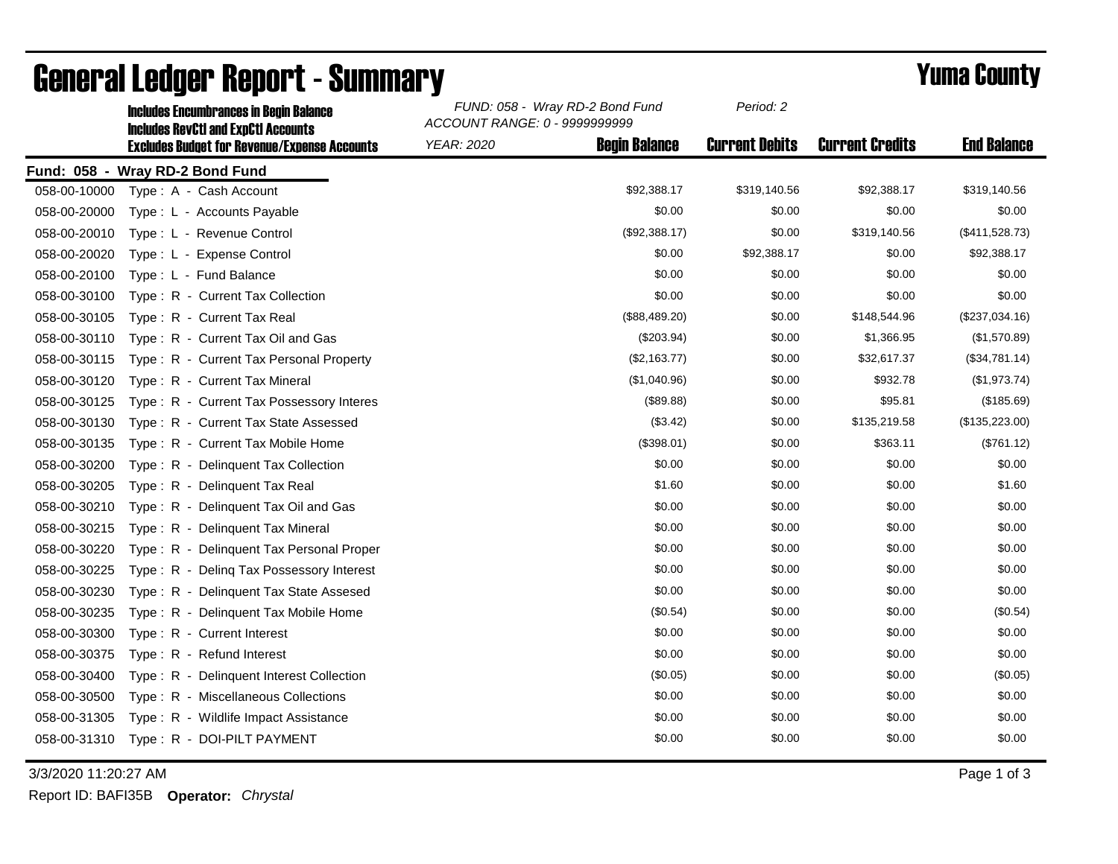|              | <b>Includes Encumbrances in Begin Balance</b><br><b>Includes RevCtI and ExpCtI Accounts</b> | FUND: 058 - Wray RD-2 Bond Fund<br>ACCOUNT RANGE: 0 - 9999999999 |                      | Period: 2             |                        |                    |
|--------------|---------------------------------------------------------------------------------------------|------------------------------------------------------------------|----------------------|-----------------------|------------------------|--------------------|
|              | <b>Excludes Budget for Revenue/Expense Accounts</b>                                         | YEAR: 2020                                                       | <b>Begin Balance</b> | <b>Current Debits</b> | <b>Current Credits</b> | <b>End Balance</b> |
|              | Fund: 058 - Wray RD-2 Bond Fund                                                             |                                                                  |                      |                       |                        |                    |
| 058-00-10000 | Type: A - Cash Account                                                                      |                                                                  | \$92,388.17          | \$319,140.56          | \$92,388.17            | \$319,140.56       |
| 058-00-20000 | Type: L - Accounts Payable                                                                  |                                                                  | \$0.00               | \$0.00                | \$0.00                 | \$0.00             |
| 058-00-20010 | Type: L - Revenue Control                                                                   |                                                                  | (\$92,388.17)        | \$0.00                | \$319,140.56           | (\$411,528.73)     |
| 058-00-20020 | Type: L - Expense Control                                                                   |                                                                  | \$0.00               | \$92,388.17           | \$0.00                 | \$92,388.17        |
| 058-00-20100 | Type: L - Fund Balance                                                                      |                                                                  | \$0.00               | \$0.00                | \$0.00                 | \$0.00             |
| 058-00-30100 | Type: R - Current Tax Collection                                                            |                                                                  | \$0.00               | \$0.00                | \$0.00                 | \$0.00             |
| 058-00-30105 | Type: R - Current Tax Real                                                                  |                                                                  | (\$88,489.20)        | \$0.00                | \$148,544.96           | (\$237,034.16)     |
| 058-00-30110 | Type: R - Current Tax Oil and Gas                                                           |                                                                  | $(\$203.94)$         | \$0.00                | \$1,366.95             | (\$1,570.89)       |
| 058-00-30115 | Type: R - Current Tax Personal Property                                                     |                                                                  | (\$2,163.77)         | \$0.00                | \$32,617.37            | (\$34,781.14)      |
| 058-00-30120 | Type: R - Current Tax Mineral                                                               |                                                                  | (\$1,040.96)         | \$0.00                | \$932.78               | (\$1,973.74)       |
| 058-00-30125 | Type: R - Current Tax Possessory Interes                                                    |                                                                  | (\$89.88)            | \$0.00                | \$95.81                | (\$185.69)         |
| 058-00-30130 | Type: R - Current Tax State Assessed                                                        |                                                                  | (\$3.42)             | \$0.00                | \$135,219.58           | (\$135,223.00)     |
| 058-00-30135 | Type: R - Current Tax Mobile Home                                                           |                                                                  | (\$398.01)           | \$0.00                | \$363.11               | (\$761.12)         |
| 058-00-30200 | Type: R - Delinquent Tax Collection                                                         |                                                                  | \$0.00               | \$0.00                | \$0.00                 | \$0.00             |
| 058-00-30205 | Type: R - Delinquent Tax Real                                                               |                                                                  | \$1.60               | \$0.00                | \$0.00                 | \$1.60             |
| 058-00-30210 | Type: R - Delinquent Tax Oil and Gas                                                        |                                                                  | \$0.00               | \$0.00                | \$0.00                 | \$0.00             |
| 058-00-30215 | Type: R - Delinquent Tax Mineral                                                            |                                                                  | \$0.00               | \$0.00                | \$0.00                 | \$0.00             |
| 058-00-30220 | Type: R - Delinquent Tax Personal Proper                                                    |                                                                  | \$0.00               | \$0.00                | \$0.00                 | \$0.00             |
| 058-00-30225 | Type: R - Deling Tax Possessory Interest                                                    |                                                                  | \$0.00               | \$0.00                | \$0.00                 | \$0.00             |
| 058-00-30230 | Type: R - Delinquent Tax State Assesed                                                      |                                                                  | \$0.00               | \$0.00                | \$0.00                 | \$0.00             |
| 058-00-30235 | Type: R - Delinguent Tax Mobile Home                                                        |                                                                  | (\$0.54)             | \$0.00                | \$0.00                 | (\$0.54)           |
| 058-00-30300 | Type: R - Current Interest                                                                  |                                                                  | \$0.00               | \$0.00                | \$0.00                 | \$0.00             |
| 058-00-30375 | Type: R - Refund Interest                                                                   |                                                                  | \$0.00               | \$0.00                | \$0.00                 | \$0.00             |
| 058-00-30400 | Type: R - Delinquent Interest Collection                                                    |                                                                  | (\$0.05)             | \$0.00                | \$0.00                 | (\$0.05)           |
| 058-00-30500 | Type: R - Miscellaneous Collections                                                         |                                                                  | \$0.00               | \$0.00                | \$0.00                 | \$0.00             |
| 058-00-31305 | Type: R - Wildlife Impact Assistance                                                        |                                                                  | \$0.00               | \$0.00                | \$0.00                 | \$0.00             |
|              | 058-00-31310 Type: R - DOI-PILT PAYMENT                                                     |                                                                  | \$0.00               | \$0.00                | \$0.00                 | \$0.00             |

## General Ledger Report - Summary **Example 2018** Yuma County

3/3/2020 11:20:27 AM Page 1 of 3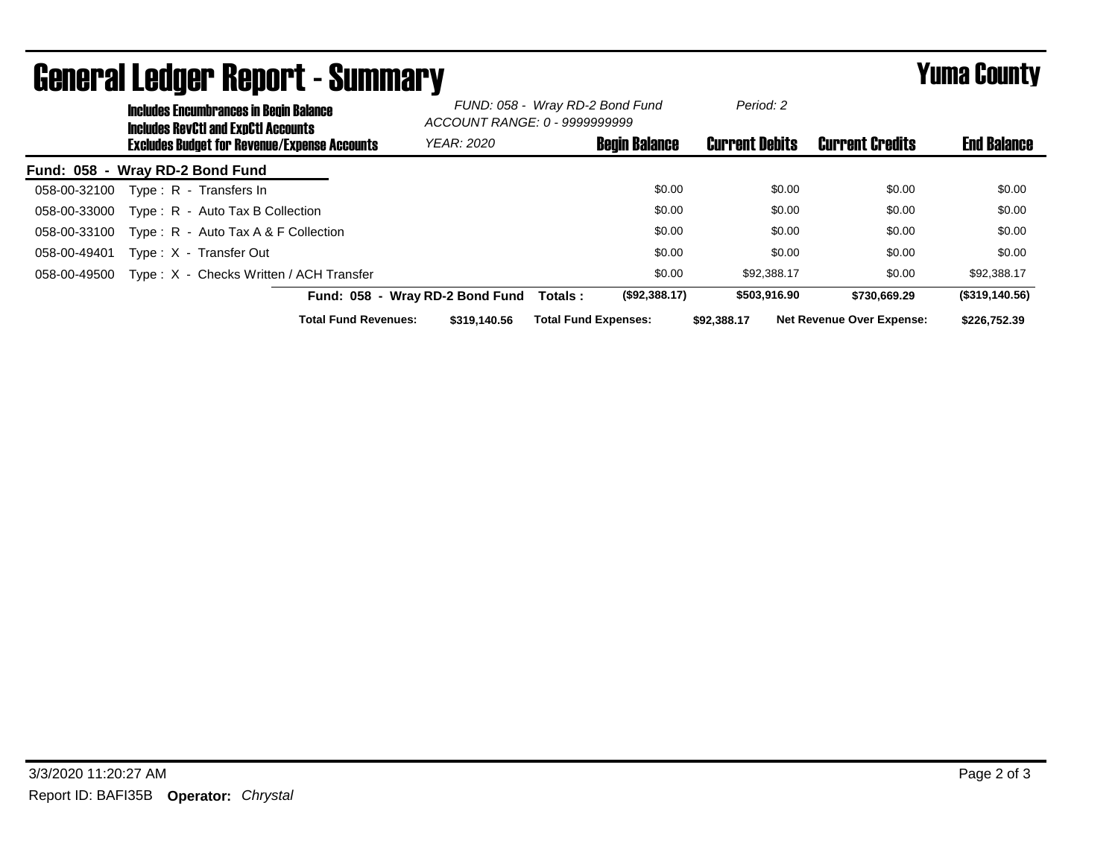|                                 |                                                     | uvnoi ui Lougoi Tiopoi te Guinniui j<br><b>Includes Encumbrances in Begin Balance</b><br><b>Includes RevCtI and ExpCtI Accounts</b> |                                           | FUND: 058 - Wray RD-2 Bond Fund<br>ACCOUNT RANGE: 0 - 9999999999 |        | Period: 2             |                                  |                    |
|---------------------------------|-----------------------------------------------------|-------------------------------------------------------------------------------------------------------------------------------------|-------------------------------------------|------------------------------------------------------------------|--------|-----------------------|----------------------------------|--------------------|
|                                 | <b>Excludes Budget for Revenue/Expense Accounts</b> |                                                                                                                                     | <b>Begin Balance</b><br><b>YEAR: 2020</b> |                                                                  |        | <b>Current Debits</b> | <b>Current Credits</b>           | <b>End Balance</b> |
| Fund: 058 - Wray RD-2 Bond Fund |                                                     |                                                                                                                                     |                                           |                                                                  |        |                       |                                  |                    |
| 058-00-32100                    |                                                     | Type: R - Transfers In                                                                                                              |                                           |                                                                  | \$0.00 | \$0.00                | \$0.00                           | \$0.00             |
| 058-00-33000                    |                                                     | Type: R - Auto Tax B Collection                                                                                                     |                                           |                                                                  | \$0.00 | \$0.00                | \$0.00                           | \$0.00             |
| 058-00-33100                    |                                                     | Type: $R -$ Auto Tax A & F Collection                                                                                               |                                           |                                                                  | \$0.00 | \$0.00                | \$0.00                           | \$0.00             |
| 058-00-49401                    |                                                     | Type: X - Transfer Out                                                                                                              |                                           |                                                                  | \$0.00 | \$0.00                | \$0.00                           | \$0.00             |
| 058-00-49500                    |                                                     | Type: X - Checks Written / ACH Transfer                                                                                             |                                           |                                                                  | \$0.00 | \$92,388.17           | \$0.00                           | \$92,388.17        |
|                                 |                                                     |                                                                                                                                     | Fund: 058 - Wray RD-2 Bond Fund           | (\$92,388.17)<br>Totals :                                        |        | \$503,916.90          | \$730,669.29                     | (\$319,140.56)     |
|                                 |                                                     | <b>Total Fund Revenues:</b>                                                                                                         | \$319,140.56                              | <b>Total Fund Expenses:</b>                                      |        | \$92,388.17           | <b>Net Revenue Over Expense:</b> | \$226,752.39       |

## General Ledger Report - Summary Yuma County